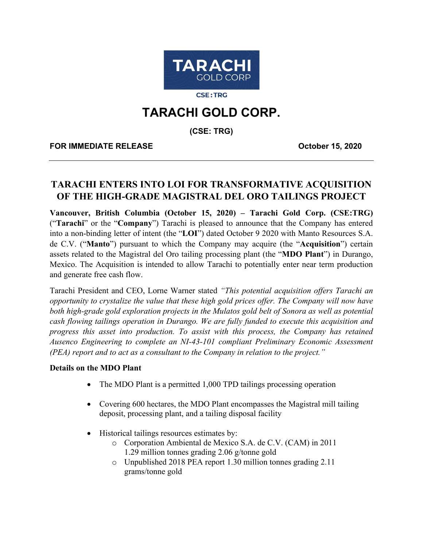

**CSE:TRG** 

# **TARACHI GOLD CORP.**

**(CSE: TRG)**

**FOR IMMEDIATE RELEASE October 15, 2020**

# **TARACHI ENTERS INTO LOI FOR TRANSFORMATIVE ACQUISITION OF THE HIGH-GRADE MAGISTRAL DEL ORO TAILINGS PROJECT**

**Vancouver, British Columbia (October 15, 2020) – Tarachi Gold Corp. (CSE:TRG)** ("**Tarachi**" or the "**Company**") Tarachi is pleased to announce that the Company has entered into a non-binding letter of intent (the "**LOI**") dated October 9 2020 with Manto Resources S.A. de C.V. ("**Manto**") pursuant to which the Company may acquire (the "**Acquisition**") certain assets related to the Magistral del Oro tailing processing plant (the "**MDO Plant**") in Durango, Mexico. The Acquisition is intended to allow Tarachi to potentially enter near term production and generate free cash flow.

Tarachi President and CEO, Lorne Warner stated *"This potential acquisition offers Tarachi an opportunity to crystalize the value that these high gold prices offer. The Company will now have both high-grade gold exploration projects in the Mulatos gold belt of Sonora as well as potential cash flowing tailings operation in Durango. We are fully funded to execute this acquisition and progress this asset into production. To assist with this process, the Company has retained Ausenco Engineering to complete an NI-43-101 compliant Preliminary Economic Assessment (PEA) report and to act as a consultant to the Company in relation to the project."*

#### **Details on the MDO Plant**

- The MDO Plant is a permitted 1,000 TPD tailings processing operation
- Covering 600 hectares, the MDO Plant encompasses the Magistral mill tailing deposit, processing plant, and a tailing disposal facility
- Historical tailings resources estimates by:
	- o Corporation Ambiental de Mexico S.A. de C.V. (CAM) in 2011 1.29 million tonnes grading 2.06 g/tonne gold
	- o Unpublished 2018 PEA report 1.30 million tonnes grading 2.11 grams/tonne gold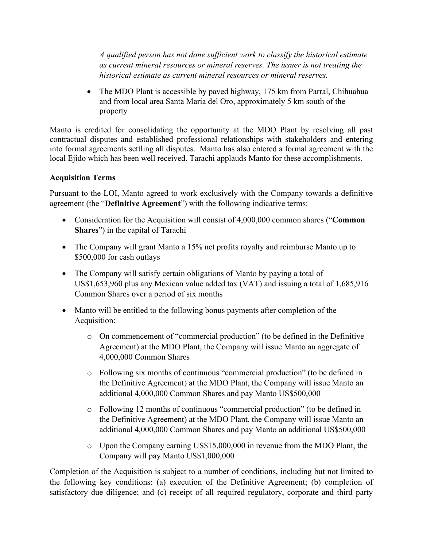*A qualified person has not done sufficient work to classify the historical estimate as current mineral resources or mineral reserves. The issuer is not treating the historical estimate as current mineral resources or mineral reserves.*

• The MDO Plant is accessible by paved highway, 175 km from Parral, Chihuahua and from local area Santa Maria del Oro, approximately 5 km south of the property

Manto is credited for consolidating the opportunity at the MDO Plant by resolving all past contractual disputes and established professional relationships with stakeholders and entering into formal agreements settling all disputes. Manto has also entered a formal agreement with the local Ejido which has been well received. Tarachi applauds Manto for these accomplishments.

## **Acquisition Terms**

Pursuant to the LOI, Manto agreed to work exclusively with the Company towards a definitive agreement (the "**Definitive Agreement**") with the following indicative terms:

- Consideration for the Acquisition will consist of 4,000,000 common shares ("**Common Shares**") in the capital of Tarachi
- The Company will grant Manto a 15% net profits royalty and reimburse Manto up to \$500,000 for cash outlays
- The Company will satisfy certain obligations of Manto by paying a total of US\$1,653,960 plus any Mexican value added tax (VAT) and issuing a total of 1,685,916 Common Shares over a period of six months
- Manto will be entitled to the following bonus payments after completion of the Acquisition:
	- o On commencement of "commercial production" (to be defined in the Definitive Agreement) at the MDO Plant, the Company will issue Manto an aggregate of 4,000,000 Common Shares
	- o Following six months of continuous "commercial production" (to be defined in the Definitive Agreement) at the MDO Plant, the Company will issue Manto an additional 4,000,000 Common Shares and pay Manto US\$500,000
	- o Following 12 months of continuous "commercial production" (to be defined in the Definitive Agreement) at the MDO Plant, the Company will issue Manto an additional 4,000,000 Common Shares and pay Manto an additional US\$500,000
	- o Upon the Company earning US\$15,000,000 in revenue from the MDO Plant, the Company will pay Manto US\$1,000,000

Completion of the Acquisition is subject to a number of conditions, including but not limited to the following key conditions: (a) execution of the Definitive Agreement; (b) completion of satisfactory due diligence; and (c) receipt of all required regulatory, corporate and third party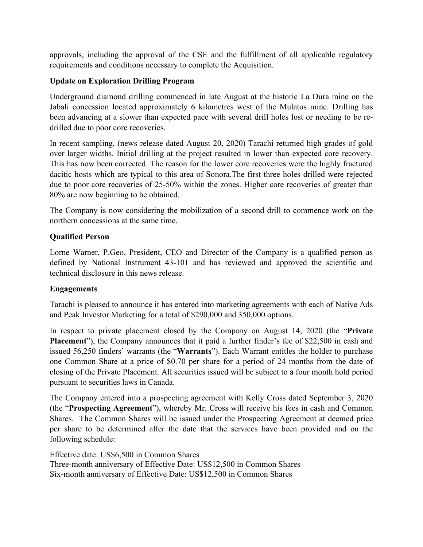approvals, including the approval of the CSE and the fulfillment of all applicable regulatory requirements and conditions necessary to complete the Acquisition.

### **Update on Exploration Drilling Program**

Underground diamond drilling commenced in late August at the historic La Dura mine on the Jabali concession located approximately 6 kilometres west of the Mulatos mine. Drilling has been advancing at a slower than expected pace with several drill holes lost or needing to be redrilled due to poor core recoveries.

In recent sampling, (news release dated August 20, 2020) Tarachi returned high grades of gold over larger widths. Initial drilling at the project resulted in lower than expected core recovery. This has now been corrected. The reason for the lower core recoveries were the highly fractured dacitic hosts which are typical to this area of Sonora.The first three holes drilled were rejected due to poor core recoveries of 25-50% within the zones. Higher core recoveries of greater than 80% are now beginning to be obtained.

The Company is now considering the mobilization of a second drill to commence work on the northern concessions at the same time.

#### **Qualified Person**

Lorne Warner, P.Geo, President, CEO and Director of the Company is a qualified person as defined by National Instrument 43-101 and has reviewed and approved the scientific and technical disclosure in this news release.

#### **Engagements**

Tarachi is pleased to announce it has entered into marketing agreements with each of Native Ads and Peak Investor Marketing for a total of \$290,000 and 350,000 options.

In respect to private placement closed by the Company on August 14, 2020 (the "**Private Placement**"), the Company announces that it paid a further finder's fee of \$22,500 in cash and issued 56,250 finders' warrants (the "**Warrants**"). Each Warrant entitles the holder to purchase one Common Share at a price of \$0.70 per share for a period of 24 months from the date of closing of the Private Placement. All securities issued will be subject to a four month hold period pursuant to securities laws in Canada.

The Company entered into a prospecting agreement with Kelly Cross dated September 3, 2020 (the "**Prospecting Agreement**"), whereby Mr. Cross will receive his fees in cash and Common Shares. The Common Shares will be issued under the Prospecting Agreement at deemed price per share to be determined after the date that the services have been provided and on the following schedule:

Effective date: US\$6,500 in Common Shares Three-month anniversary of Effective Date: US\$12,500 in Common Shares Six-month anniversary of Effective Date: US\$12,500 in Common Shares